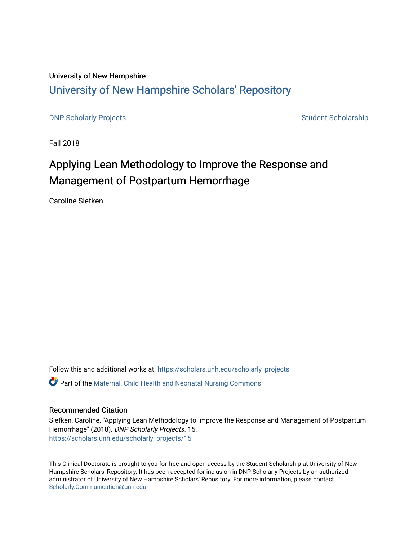## University of New Hampshire [University of New Hampshire Scholars' Repository](https://scholars.unh.edu/)

[DNP Scholarly Projects](https://scholars.unh.edu/scholarly_projects) **Student Scholarship** Student Scholarship

Fall 2018

# Applying Lean Methodology to Improve the Response and Management of Postpartum Hemorrhage

Caroline Siefken

Follow this and additional works at: [https://scholars.unh.edu/scholarly\\_projects](https://scholars.unh.edu/scholarly_projects?utm_source=scholars.unh.edu%2Fscholarly_projects%2F15&utm_medium=PDF&utm_campaign=PDFCoverPages)

Part of the [Maternal, Child Health and Neonatal Nursing Commons](http://network.bepress.com/hgg/discipline/721?utm_source=scholars.unh.edu%2Fscholarly_projects%2F15&utm_medium=PDF&utm_campaign=PDFCoverPages) 

#### Recommended Citation

Siefken, Caroline, "Applying Lean Methodology to Improve the Response and Management of Postpartum Hemorrhage" (2018). DNP Scholarly Projects. 15. [https://scholars.unh.edu/scholarly\\_projects/15](https://scholars.unh.edu/scholarly_projects/15?utm_source=scholars.unh.edu%2Fscholarly_projects%2F15&utm_medium=PDF&utm_campaign=PDFCoverPages) 

This Clinical Doctorate is brought to you for free and open access by the Student Scholarship at University of New Hampshire Scholars' Repository. It has been accepted for inclusion in DNP Scholarly Projects by an authorized administrator of University of New Hampshire Scholars' Repository. For more information, please contact [Scholarly.Communication@unh.edu](mailto:Scholarly.Communication@unh.edu).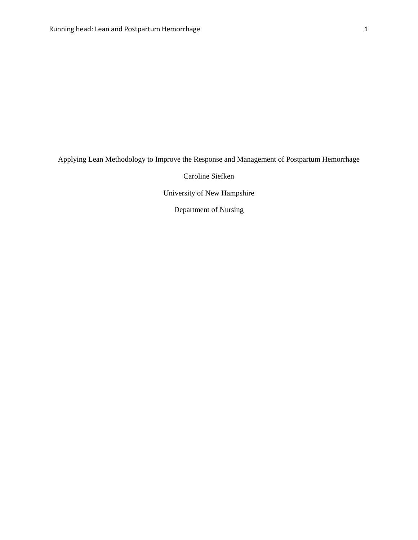Applying Lean Methodology to Improve the Response and Management of Postpartum Hemorrhage

Caroline Siefken

University of New Hampshire

Department of Nursing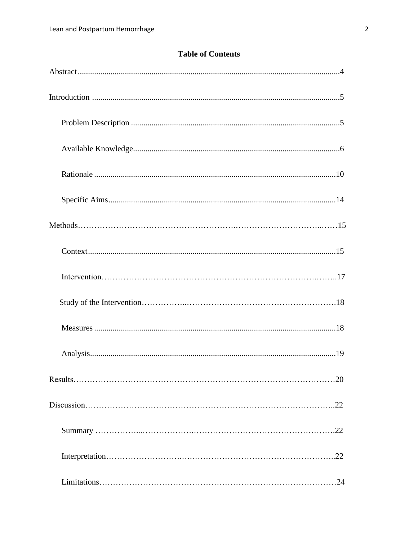#### **Table of Contents**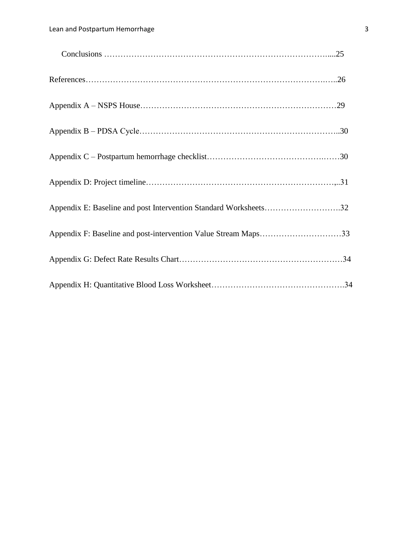| $Conclusions \dots 25$                                           |  |
|------------------------------------------------------------------|--|
|                                                                  |  |
|                                                                  |  |
|                                                                  |  |
|                                                                  |  |
|                                                                  |  |
| Appendix E: Baseline and post Intervention Standard Worksheets32 |  |
|                                                                  |  |
|                                                                  |  |
|                                                                  |  |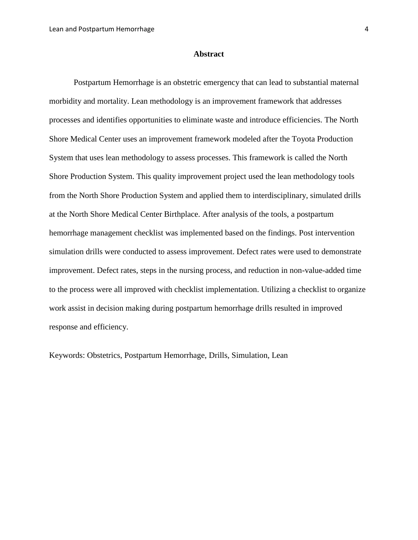#### **Abstract**

Postpartum Hemorrhage is an obstetric emergency that can lead to substantial maternal morbidity and mortality. Lean methodology is an improvement framework that addresses processes and identifies opportunities to eliminate waste and introduce efficiencies. The North Shore Medical Center uses an improvement framework modeled after the Toyota Production System that uses lean methodology to assess processes. This framework is called the North Shore Production System. This quality improvement project used the lean methodology tools from the North Shore Production System and applied them to interdisciplinary, simulated drills at the North Shore Medical Center Birthplace. After analysis of the tools, a postpartum hemorrhage management checklist was implemented based on the findings. Post intervention simulation drills were conducted to assess improvement. Defect rates were used to demonstrate improvement. Defect rates, steps in the nursing process, and reduction in non-value-added time to the process were all improved with checklist implementation. Utilizing a checklist to organize work assist in decision making during postpartum hemorrhage drills resulted in improved response and efficiency.

Keywords: Obstetrics, Postpartum Hemorrhage, Drills, Simulation, Lean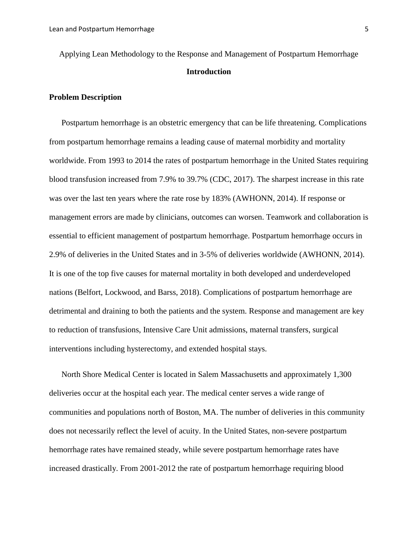Applying Lean Methodology to the Response and Management of Postpartum Hemorrhage **Introduction**

#### **Problem Description**

Postpartum hemorrhage is an obstetric emergency that can be life threatening. Complications from postpartum hemorrhage remains a leading cause of maternal morbidity and mortality worldwide. From 1993 to 2014 the rates of postpartum hemorrhage in the United States requiring blood transfusion increased from 7.9% to 39.7% (CDC, 2017). The sharpest increase in this rate was over the last ten years where the rate rose by 183% (AWHONN, 2014). If response or management errors are made by clinicians, outcomes can worsen. Teamwork and collaboration is essential to efficient management of postpartum hemorrhage. Postpartum hemorrhage occurs in 2.9% of deliveries in the United States and in 3-5% of deliveries worldwide (AWHONN, 2014). It is one of the top five causes for maternal mortality in both developed and underdeveloped nations [\(Belfort,](http://www.utdol.com/) Lockwood, and Barss, 2018). Complications of postpartum hemorrhage are detrimental and draining to both the patients and the system. Response and management are key to reduction of transfusions, Intensive Care Unit admissions, maternal transfers, surgical interventions including hysterectomy, and extended hospital stays.

North Shore Medical Center is located in Salem Massachusetts and approximately 1,300 deliveries occur at the hospital each year. The medical center serves a wide range of communities and populations north of Boston, MA. The number of deliveries in this community does not necessarily reflect the level of acuity. In the United States, non-severe postpartum hemorrhage rates have remained steady, while severe postpartum hemorrhage rates have increased drastically. From 2001-2012 the rate of postpartum hemorrhage requiring blood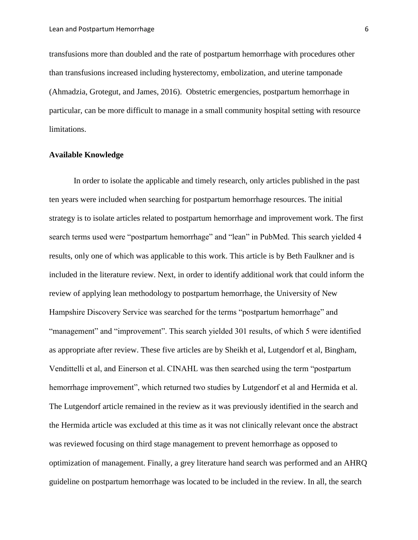transfusions more than doubled and the rate of postpartum hemorrhage with procedures other than transfusions increased including hysterectomy, embolization, and uterine tamponade (Ahmadzia, Grotegut, and James, 2016). Obstetric emergencies, postpartum hemorrhage in particular, can be more difficult to manage in a small community hospital setting with resource limitations.

#### **Available Knowledge**

In order to isolate the applicable and timely research, only articles published in the past ten years were included when searching for postpartum hemorrhage resources. The initial strategy is to isolate articles related to postpartum hemorrhage and improvement work. The first search terms used were "postpartum hemorrhage" and "lean" in PubMed. This search yielded 4 results, only one of which was applicable to this work. This article is by Beth Faulkner and is included in the literature review. Next, in order to identify additional work that could inform the review of applying lean methodology to postpartum hemorrhage, the University of New Hampshire Discovery Service was searched for the terms "postpartum hemorrhage" and "management" and "improvement". This search yielded 301 results, of which 5 were identified as appropriate after review. These five articles are by Sheikh et al, Lutgendorf et al, Bingham, Vendittelli et al, and Einerson et al. CINAHL was then searched using the term "postpartum hemorrhage improvement", which returned two studies by Lutgendorf et al and Hermida et al. The Lutgendorf article remained in the review as it was previously identified in the search and the Hermida article was excluded at this time as it was not clinically relevant once the abstract was reviewed focusing on third stage management to prevent hemorrhage as opposed to optimization of management. Finally, a grey literature hand search was performed and an AHRQ guideline on postpartum hemorrhage was located to be included in the review. In all, the search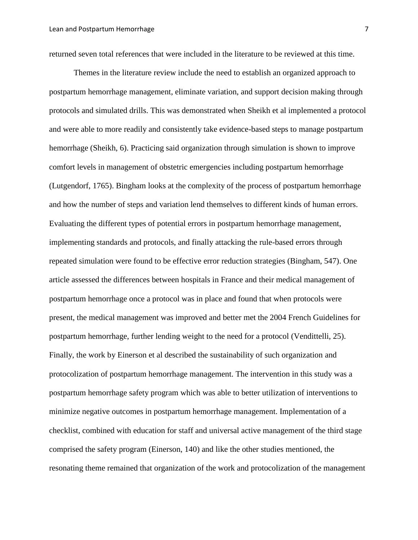returned seven total references that were included in the literature to be reviewed at this time.

Themes in the literature review include the need to establish an organized approach to postpartum hemorrhage management, eliminate variation, and support decision making through protocols and simulated drills. This was demonstrated when Sheikh et al implemented a protocol and were able to more readily and consistently take evidence-based steps to manage postpartum hemorrhage (Sheikh, 6). Practicing said organization through simulation is shown to improve comfort levels in management of obstetric emergencies including postpartum hemorrhage (Lutgendorf, 1765). Bingham looks at the complexity of the process of postpartum hemorrhage and how the number of steps and variation lend themselves to different kinds of human errors. Evaluating the different types of potential errors in postpartum hemorrhage management, implementing standards and protocols, and finally attacking the rule-based errors through repeated simulation were found to be effective error reduction strategies (Bingham, 547). One article assessed the differences between hospitals in France and their medical management of postpartum hemorrhage once a protocol was in place and found that when protocols were present, the medical management was improved and better met the 2004 French Guidelines for postpartum hemorrhage, further lending weight to the need for a protocol (Vendittelli, 25). Finally, the work by Einerson et al described the sustainability of such organization and protocolization of postpartum hemorrhage management. The intervention in this study was a postpartum hemorrhage safety program which was able to better utilization of interventions to minimize negative outcomes in postpartum hemorrhage management. Implementation of a checklist, combined with education for staff and universal active management of the third stage comprised the safety program (Einerson, 140) and like the other studies mentioned, the resonating theme remained that organization of the work and protocolization of the management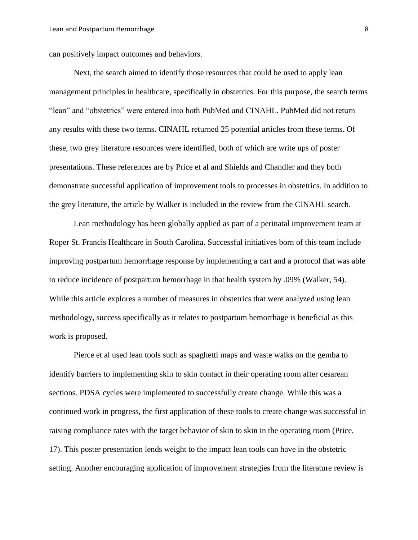can positively impact outcomes and behaviors.

Next, the search aimed to identify those resources that could be used to apply lean management principles in healthcare, specifically in obstetrics. For this purpose, the search terms "lean" and "obstetrics" were entered into both PubMed and CINAHL. PubMed did not return any results with these two terms. CINAHL returned 25 potential articles from these terms. Of these, two grey literature resources were identified, both of which are write ups of poster presentations. These references are by Price et al and Shields and Chandler and they both demonstrate successful application of improvement tools to processes in obstetrics. In addition to the grey literature, the article by Walker is included in the review from the CINAHL search.

Lean methodology has been globally applied as part of a perinatal improvement team at Roper St. Francis Healthcare in South Carolina. Successful initiatives born of this team include improving postpartum hemorrhage response by implementing a cart and a protocol that was able to reduce incidence of postpartum hemorrhage in that health system by .09% (Walker, 54). While this article explores a number of measures in obstetrics that were analyzed using lean methodology, success specifically as it relates to postpartum hemorrhage is beneficial as this work is proposed.

Pierce et al used lean tools such as spaghetti maps and waste walks on the gemba to identify barriers to implementing skin to skin contact in their operating room after cesarean sections. PDSA cycles were implemented to successfully create change. While this was a continued work in progress, the first application of these tools to create change was successful in raising compliance rates with the target behavior of skin to skin in the operating room (Price, 17). This poster presentation lends weight to the impact lean tools can have in the obstetric setting. Another encouraging application of improvement strategies from the literature review is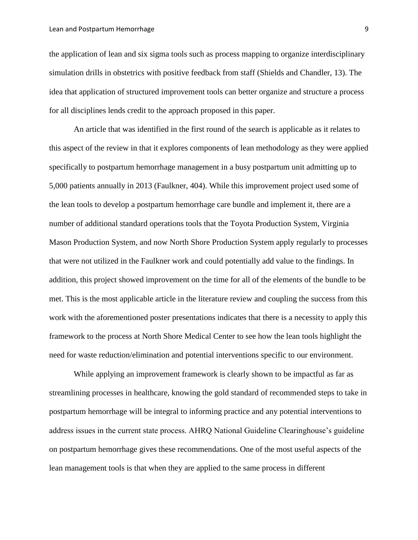the application of lean and six sigma tools such as process mapping to organize interdisciplinary simulation drills in obstetrics with positive feedback from staff (Shields and Chandler, 13). The idea that application of structured improvement tools can better organize and structure a process for all disciplines lends credit to the approach proposed in this paper.

An article that was identified in the first round of the search is applicable as it relates to this aspect of the review in that it explores components of lean methodology as they were applied specifically to postpartum hemorrhage management in a busy postpartum unit admitting up to 5,000 patients annually in 2013 (Faulkner, 404). While this improvement project used some of the lean tools to develop a postpartum hemorrhage care bundle and implement it, there are a number of additional standard operations tools that the Toyota Production System, Virginia Mason Production System, and now North Shore Production System apply regularly to processes that were not utilized in the Faulkner work and could potentially add value to the findings. In addition, this project showed improvement on the time for all of the elements of the bundle to be met. This is the most applicable article in the literature review and coupling the success from this work with the aforementioned poster presentations indicates that there is a necessity to apply this framework to the process at North Shore Medical Center to see how the lean tools highlight the need for waste reduction/elimination and potential interventions specific to our environment.

While applying an improvement framework is clearly shown to be impactful as far as streamlining processes in healthcare, knowing the gold standard of recommended steps to take in postpartum hemorrhage will be integral to informing practice and any potential interventions to address issues in the current state process. AHRQ National Guideline Clearinghouse's guideline on postpartum hemorrhage gives these recommendations. One of the most useful aspects of the lean management tools is that when they are applied to the same process in different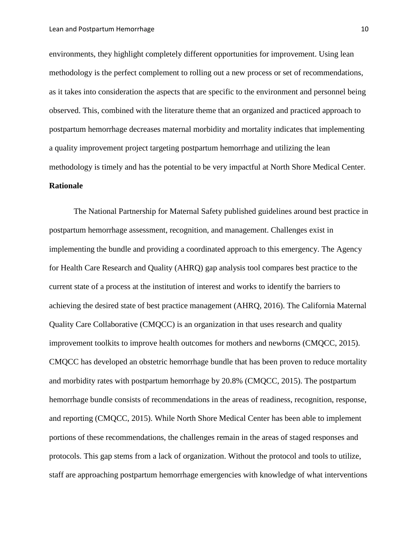environments, they highlight completely different opportunities for improvement. Using lean methodology is the perfect complement to rolling out a new process or set of recommendations, as it takes into consideration the aspects that are specific to the environment and personnel being observed. This, combined with the literature theme that an organized and practiced approach to postpartum hemorrhage decreases maternal morbidity and mortality indicates that implementing a quality improvement project targeting postpartum hemorrhage and utilizing the lean methodology is timely and has the potential to be very impactful at North Shore Medical Center. **Rationale**

The National Partnership for Maternal Safety published guidelines around best practice in postpartum hemorrhage assessment, recognition, and management. Challenges exist in implementing the bundle and providing a coordinated approach to this emergency. The Agency for Health Care Research and Quality (AHRQ) gap analysis tool compares best practice to the current state of a process at the institution of interest and works to identify the barriers to achieving the desired state of best practice management (AHRQ, 2016). The California Maternal Quality Care Collaborative (CMQCC) is an organization in that uses research and quality improvement toolkits to improve health outcomes for mothers and newborns (CMQCC, 2015). CMQCC has developed an obstetric hemorrhage bundle that has been proven to reduce mortality and morbidity rates with postpartum hemorrhage by 20.8% (CMQCC, 2015). The postpartum hemorrhage bundle consists of recommendations in the areas of readiness, recognition, response, and reporting (CMQCC, 2015). While North Shore Medical Center has been able to implement portions of these recommendations, the challenges remain in the areas of staged responses and protocols. This gap stems from a lack of organization. Without the protocol and tools to utilize, staff are approaching postpartum hemorrhage emergencies with knowledge of what interventions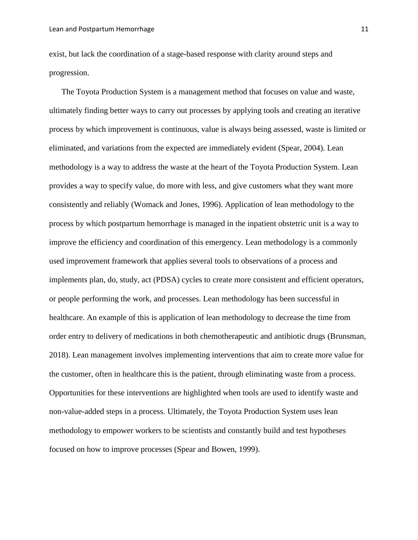exist, but lack the coordination of a stage-based response with clarity around steps and progression.

The Toyota Production System is a management method that focuses on value and waste, ultimately finding better ways to carry out processes by applying tools and creating an iterative process by which improvement is continuous, value is always being assessed, waste is limited or eliminated, and variations from the expected are immediately evident (Spear, 2004). Lean methodology is a way to address the waste at the heart of the Toyota Production System. Lean provides a way to specify value, do more with less, and give customers what they want more consistently and reliably (Womack and Jones, 1996). Application of lean methodology to the process by which postpartum hemorrhage is managed in the inpatient obstetric unit is a way to improve the efficiency and coordination of this emergency. Lean methodology is a commonly used improvement framework that applies several tools to observations of a process and implements plan, do, study, act (PDSA) cycles to create more consistent and efficient operators, or people performing the work, and processes. Lean methodology has been successful in healthcare. An example of this is application of lean methodology to decrease the time from order entry to delivery of medications in both chemotherapeutic and antibiotic drugs (Brunsman, 2018). Lean management involves implementing interventions that aim to create more value for the customer, often in healthcare this is the patient, through eliminating waste from a process. Opportunities for these interventions are highlighted when tools are used to identify waste and non-value-added steps in a process. Ultimately, the Toyota Production System uses lean methodology to empower workers to be scientists and constantly build and test hypotheses focused on how to improve processes (Spear and Bowen, 1999).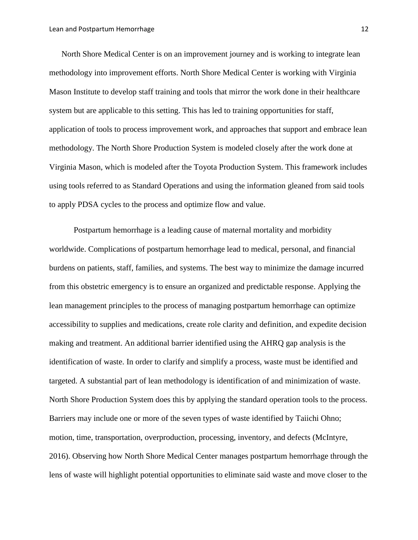North Shore Medical Center is on an improvement journey and is working to integrate lean methodology into improvement efforts. North Shore Medical Center is working with Virginia Mason Institute to develop staff training and tools that mirror the work done in their healthcare system but are applicable to this setting. This has led to training opportunities for staff, application of tools to process improvement work, and approaches that support and embrace lean methodology. The North Shore Production System is modeled closely after the work done at Virginia Mason, which is modeled after the Toyota Production System. This framework includes using tools referred to as Standard Operations and using the information gleaned from said tools to apply PDSA cycles to the process and optimize flow and value.

Postpartum hemorrhage is a leading cause of maternal mortality and morbidity worldwide. Complications of postpartum hemorrhage lead to medical, personal, and financial burdens on patients, staff, families, and systems. The best way to minimize the damage incurred from this obstetric emergency is to ensure an organized and predictable response. Applying the lean management principles to the process of managing postpartum hemorrhage can optimize accessibility to supplies and medications, create role clarity and definition, and expedite decision making and treatment. An additional barrier identified using the AHRQ gap analysis is the identification of waste. In order to clarify and simplify a process, waste must be identified and targeted. A substantial part of lean methodology is identification of and minimization of waste. North Shore Production System does this by applying the standard operation tools to the process. Barriers may include one or more of the seven types of waste identified by Taiichi Ohno; motion, time, transportation, overproduction, processing, inventory, and defects (McIntyre, 2016). Observing how North Shore Medical Center manages postpartum hemorrhage through the lens of waste will highlight potential opportunities to eliminate said waste and move closer to the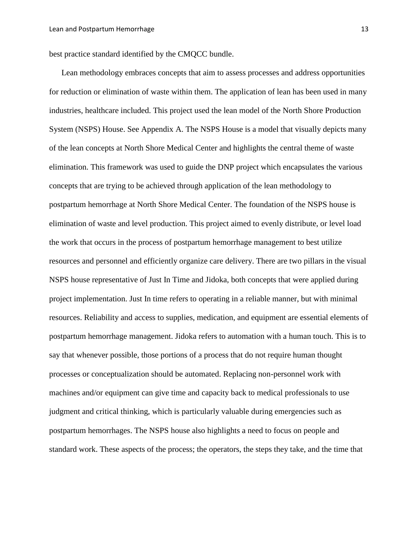best practice standard identified by the CMQCC bundle.

Lean methodology embraces concepts that aim to assess processes and address opportunities for reduction or elimination of waste within them. The application of lean has been used in many industries, healthcare included. This project used the lean model of the North Shore Production System (NSPS) House. See Appendix A. The NSPS House is a model that visually depicts many of the lean concepts at North Shore Medical Center and highlights the central theme of waste elimination. This framework was used to guide the DNP project which encapsulates the various concepts that are trying to be achieved through application of the lean methodology to postpartum hemorrhage at North Shore Medical Center. The foundation of the NSPS house is elimination of waste and level production. This project aimed to evenly distribute, or level load the work that occurs in the process of postpartum hemorrhage management to best utilize resources and personnel and efficiently organize care delivery. There are two pillars in the visual NSPS house representative of Just In Time and Jidoka, both concepts that were applied during project implementation. Just In time refers to operating in a reliable manner, but with minimal resources. Reliability and access to supplies, medication, and equipment are essential elements of postpartum hemorrhage management. Jidoka refers to automation with a human touch. This is to say that whenever possible, those portions of a process that do not require human thought processes or conceptualization should be automated. Replacing non-personnel work with machines and/or equipment can give time and capacity back to medical professionals to use judgment and critical thinking, which is particularly valuable during emergencies such as postpartum hemorrhages. The NSPS house also highlights a need to focus on people and standard work. These aspects of the process; the operators, the steps they take, and the time that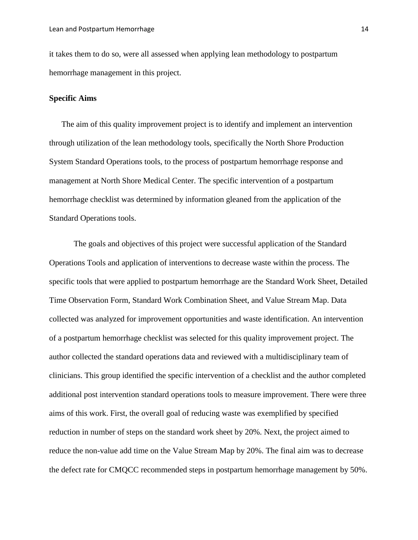it takes them to do so, were all assessed when applying lean methodology to postpartum hemorrhage management in this project.

#### **Specific Aims**

The aim of this quality improvement project is to identify and implement an intervention through utilization of the lean methodology tools, specifically the North Shore Production System Standard Operations tools, to the process of postpartum hemorrhage response and management at North Shore Medical Center. The specific intervention of a postpartum hemorrhage checklist was determined by information gleaned from the application of the Standard Operations tools.

The goals and objectives of this project were successful application of the Standard Operations Tools and application of interventions to decrease waste within the process. The specific tools that were applied to postpartum hemorrhage are the Standard Work Sheet, Detailed Time Observation Form, Standard Work Combination Sheet, and Value Stream Map. Data collected was analyzed for improvement opportunities and waste identification. An intervention of a postpartum hemorrhage checklist was selected for this quality improvement project. The author collected the standard operations data and reviewed with a multidisciplinary team of clinicians. This group identified the specific intervention of a checklist and the author completed additional post intervention standard operations tools to measure improvement. There were three aims of this work. First, the overall goal of reducing waste was exemplified by specified reduction in number of steps on the standard work sheet by 20%. Next, the project aimed to reduce the non-value add time on the Value Stream Map by 20%. The final aim was to decrease the defect rate for CMQCC recommended steps in postpartum hemorrhage management by 50%.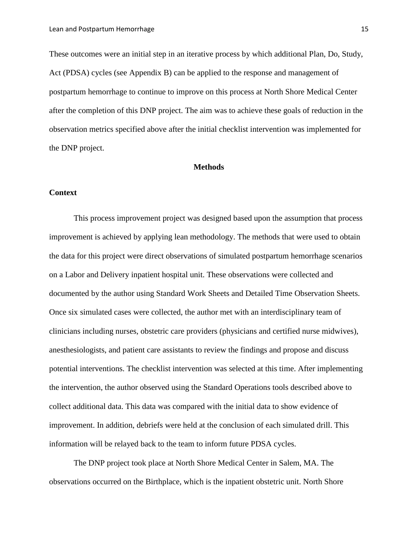These outcomes were an initial step in an iterative process by which additional Plan, Do, Study, Act (PDSA) cycles (see Appendix B) can be applied to the response and management of postpartum hemorrhage to continue to improve on this process at North Shore Medical Center after the completion of this DNP project. The aim was to achieve these goals of reduction in the observation metrics specified above after the initial checklist intervention was implemented for the DNP project.

#### **Methods**

#### **Context**

This process improvement project was designed based upon the assumption that process improvement is achieved by applying lean methodology. The methods that were used to obtain the data for this project were direct observations of simulated postpartum hemorrhage scenarios on a Labor and Delivery inpatient hospital unit. These observations were collected and documented by the author using Standard Work Sheets and Detailed Time Observation Sheets. Once six simulated cases were collected, the author met with an interdisciplinary team of clinicians including nurses, obstetric care providers (physicians and certified nurse midwives), anesthesiologists, and patient care assistants to review the findings and propose and discuss potential interventions. The checklist intervention was selected at this time. After implementing the intervention, the author observed using the Standard Operations tools described above to collect additional data. This data was compared with the initial data to show evidence of improvement. In addition, debriefs were held at the conclusion of each simulated drill. This information will be relayed back to the team to inform future PDSA cycles.

The DNP project took place at North Shore Medical Center in Salem, MA. The observations occurred on the Birthplace, which is the inpatient obstetric unit. North Shore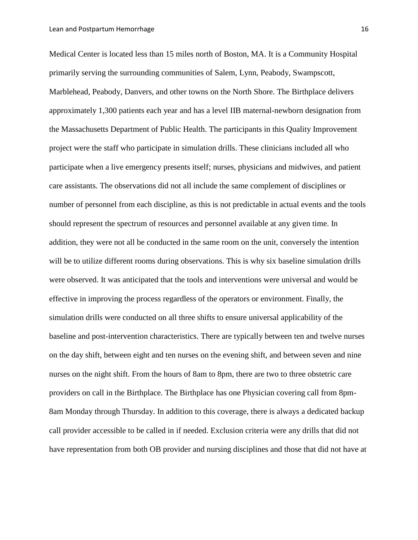Medical Center is located less than 15 miles north of Boston, MA. It is a Community Hospital primarily serving the surrounding communities of Salem, Lynn, Peabody, Swampscott, Marblehead, Peabody, Danvers, and other towns on the North Shore. The Birthplace delivers approximately 1,300 patients each year and has a level IIB maternal-newborn designation from the Massachusetts Department of Public Health. The participants in this Quality Improvement project were the staff who participate in simulation drills. These clinicians included all who participate when a live emergency presents itself; nurses, physicians and midwives, and patient care assistants. The observations did not all include the same complement of disciplines or number of personnel from each discipline, as this is not predictable in actual events and the tools should represent the spectrum of resources and personnel available at any given time. In addition, they were not all be conducted in the same room on the unit, conversely the intention will be to utilize different rooms during observations. This is why six baseline simulation drills were observed. It was anticipated that the tools and interventions were universal and would be effective in improving the process regardless of the operators or environment. Finally, the simulation drills were conducted on all three shifts to ensure universal applicability of the baseline and post-intervention characteristics. There are typically between ten and twelve nurses on the day shift, between eight and ten nurses on the evening shift, and between seven and nine nurses on the night shift. From the hours of 8am to 8pm, there are two to three obstetric care providers on call in the Birthplace. The Birthplace has one Physician covering call from 8pm-8am Monday through Thursday. In addition to this coverage, there is always a dedicated backup call provider accessible to be called in if needed. Exclusion criteria were any drills that did not have representation from both OB provider and nursing disciplines and those that did not have at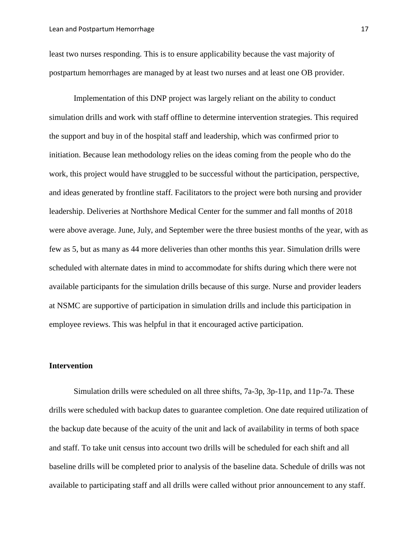least two nurses responding. This is to ensure applicability because the vast majority of postpartum hemorrhages are managed by at least two nurses and at least one OB provider.

Implementation of this DNP project was largely reliant on the ability to conduct simulation drills and work with staff offline to determine intervention strategies. This required the support and buy in of the hospital staff and leadership, which was confirmed prior to initiation. Because lean methodology relies on the ideas coming from the people who do the work, this project would have struggled to be successful without the participation, perspective, and ideas generated by frontline staff. Facilitators to the project were both nursing and provider leadership. Deliveries at Northshore Medical Center for the summer and fall months of 2018 were above average. June, July, and September were the three busiest months of the year, with as few as 5, but as many as 44 more deliveries than other months this year. Simulation drills were scheduled with alternate dates in mind to accommodate for shifts during which there were not available participants for the simulation drills because of this surge. Nurse and provider leaders at NSMC are supportive of participation in simulation drills and include this participation in employee reviews. This was helpful in that it encouraged active participation.

#### **Intervention**

Simulation drills were scheduled on all three shifts, 7a-3p, 3p-11p, and 11p-7a. These drills were scheduled with backup dates to guarantee completion. One date required utilization of the backup date because of the acuity of the unit and lack of availability in terms of both space and staff. To take unit census into account two drills will be scheduled for each shift and all baseline drills will be completed prior to analysis of the baseline data. Schedule of drills was not available to participating staff and all drills were called without prior announcement to any staff.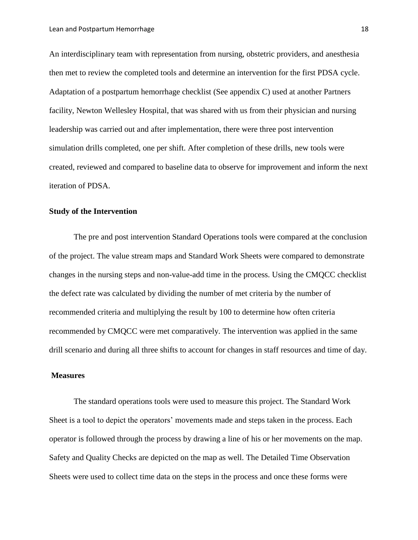An interdisciplinary team with representation from nursing, obstetric providers, and anesthesia then met to review the completed tools and determine an intervention for the first PDSA cycle. Adaptation of a postpartum hemorrhage checklist (See appendix C) used at another Partners facility, Newton Wellesley Hospital, that was shared with us from their physician and nursing leadership was carried out and after implementation, there were three post intervention simulation drills completed, one per shift. After completion of these drills, new tools were created, reviewed and compared to baseline data to observe for improvement and inform the next iteration of PDSA.

#### **Study of the Intervention**

The pre and post intervention Standard Operations tools were compared at the conclusion of the project. The value stream maps and Standard Work Sheets were compared to demonstrate changes in the nursing steps and non-value-add time in the process. Using the CMQCC checklist the defect rate was calculated by dividing the number of met criteria by the number of recommended criteria and multiplying the result by 100 to determine how often criteria recommended by CMQCC were met comparatively. The intervention was applied in the same drill scenario and during all three shifts to account for changes in staff resources and time of day.

#### **Measures**

The standard operations tools were used to measure this project. The Standard Work Sheet is a tool to depict the operators' movements made and steps taken in the process. Each operator is followed through the process by drawing a line of his or her movements on the map. Safety and Quality Checks are depicted on the map as well. The Detailed Time Observation Sheets were used to collect time data on the steps in the process and once these forms were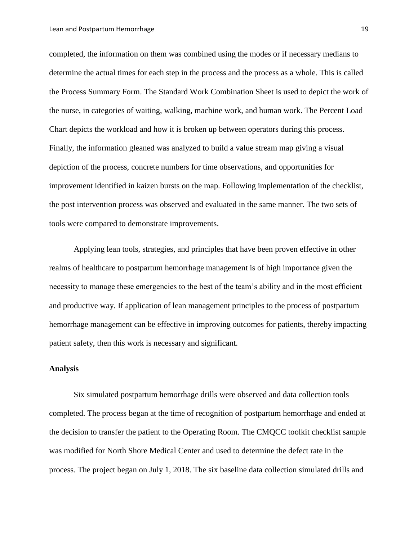completed, the information on them was combined using the modes or if necessary medians to determine the actual times for each step in the process and the process as a whole. This is called the Process Summary Form. The Standard Work Combination Sheet is used to depict the work of the nurse, in categories of waiting, walking, machine work, and human work. The Percent Load Chart depicts the workload and how it is broken up between operators during this process. Finally, the information gleaned was analyzed to build a value stream map giving a visual depiction of the process, concrete numbers for time observations, and opportunities for improvement identified in kaizen bursts on the map. Following implementation of the checklist, the post intervention process was observed and evaluated in the same manner. The two sets of tools were compared to demonstrate improvements.

Applying lean tools, strategies, and principles that have been proven effective in other realms of healthcare to postpartum hemorrhage management is of high importance given the necessity to manage these emergencies to the best of the team's ability and in the most efficient and productive way. If application of lean management principles to the process of postpartum hemorrhage management can be effective in improving outcomes for patients, thereby impacting patient safety, then this work is necessary and significant.

#### **Analysis**

Six simulated postpartum hemorrhage drills were observed and data collection tools completed. The process began at the time of recognition of postpartum hemorrhage and ended at the decision to transfer the patient to the Operating Room. The CMQCC toolkit checklist sample was modified for North Shore Medical Center and used to determine the defect rate in the process. The project began on July 1, 2018. The six baseline data collection simulated drills and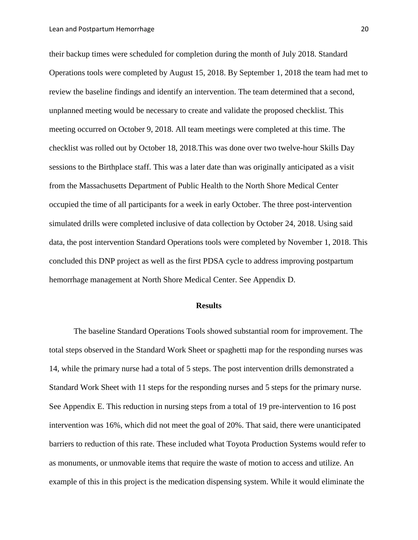their backup times were scheduled for completion during the month of July 2018. Standard Operations tools were completed by August 15, 2018. By September 1, 2018 the team had met to review the baseline findings and identify an intervention. The team determined that a second, unplanned meeting would be necessary to create and validate the proposed checklist. This meeting occurred on October 9, 2018. All team meetings were completed at this time. The checklist was rolled out by October 18, 2018.This was done over two twelve-hour Skills Day sessions to the Birthplace staff. This was a later date than was originally anticipated as a visit from the Massachusetts Department of Public Health to the North Shore Medical Center occupied the time of all participants for a week in early October. The three post-intervention simulated drills were completed inclusive of data collection by October 24, 2018. Using said data, the post intervention Standard Operations tools were completed by November 1, 2018. This concluded this DNP project as well as the first PDSA cycle to address improving postpartum hemorrhage management at North Shore Medical Center. See Appendix D.

#### **Results**

The baseline Standard Operations Tools showed substantial room for improvement. The total steps observed in the Standard Work Sheet or spaghetti map for the responding nurses was 14, while the primary nurse had a total of 5 steps. The post intervention drills demonstrated a Standard Work Sheet with 11 steps for the responding nurses and 5 steps for the primary nurse. See Appendix E. This reduction in nursing steps from a total of 19 pre-intervention to 16 post intervention was 16%, which did not meet the goal of 20%. That said, there were unanticipated barriers to reduction of this rate. These included what Toyota Production Systems would refer to as monuments, or unmovable items that require the waste of motion to access and utilize. An example of this in this project is the medication dispensing system. While it would eliminate the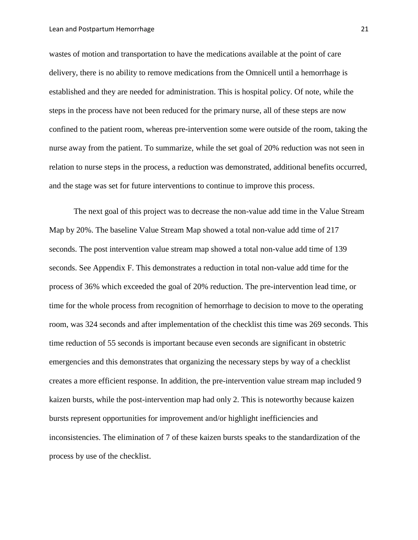wastes of motion and transportation to have the medications available at the point of care delivery, there is no ability to remove medications from the Omnicell until a hemorrhage is established and they are needed for administration. This is hospital policy. Of note, while the steps in the process have not been reduced for the primary nurse, all of these steps are now confined to the patient room, whereas pre-intervention some were outside of the room, taking the nurse away from the patient. To summarize, while the set goal of 20% reduction was not seen in relation to nurse steps in the process, a reduction was demonstrated, additional benefits occurred, and the stage was set for future interventions to continue to improve this process.

The next goal of this project was to decrease the non-value add time in the Value Stream Map by 20%. The baseline Value Stream Map showed a total non-value add time of 217 seconds. The post intervention value stream map showed a total non-value add time of 139 seconds. See Appendix F. This demonstrates a reduction in total non-value add time for the process of 36% which exceeded the goal of 20% reduction. The pre-intervention lead time, or time for the whole process from recognition of hemorrhage to decision to move to the operating room, was 324 seconds and after implementation of the checklist this time was 269 seconds. This time reduction of 55 seconds is important because even seconds are significant in obstetric emergencies and this demonstrates that organizing the necessary steps by way of a checklist creates a more efficient response. In addition, the pre-intervention value stream map included 9 kaizen bursts, while the post-intervention map had only 2. This is noteworthy because kaizen bursts represent opportunities for improvement and/or highlight inefficiencies and inconsistencies. The elimination of 7 of these kaizen bursts speaks to the standardization of the process by use of the checklist.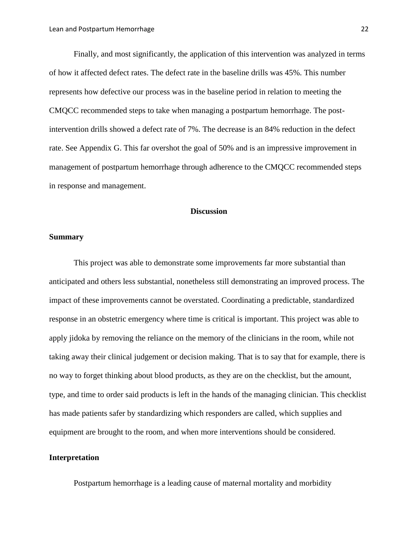Finally, and most significantly, the application of this intervention was analyzed in terms of how it affected defect rates. The defect rate in the baseline drills was 45%. This number represents how defective our process was in the baseline period in relation to meeting the CMQCC recommended steps to take when managing a postpartum hemorrhage. The postintervention drills showed a defect rate of 7%. The decrease is an 84% reduction in the defect rate. See Appendix G. This far overshot the goal of 50% and is an impressive improvement in management of postpartum hemorrhage through adherence to the CMQCC recommended steps in response and management.

#### **Discussion**

#### **Summary**

This project was able to demonstrate some improvements far more substantial than anticipated and others less substantial, nonetheless still demonstrating an improved process. The impact of these improvements cannot be overstated. Coordinating a predictable, standardized response in an obstetric emergency where time is critical is important. This project was able to apply jidoka by removing the reliance on the memory of the clinicians in the room, while not taking away their clinical judgement or decision making. That is to say that for example, there is no way to forget thinking about blood products, as they are on the checklist, but the amount, type, and time to order said products is left in the hands of the managing clinician. This checklist has made patients safer by standardizing which responders are called, which supplies and equipment are brought to the room, and when more interventions should be considered.

#### **Interpretation**

Postpartum hemorrhage is a leading cause of maternal mortality and morbidity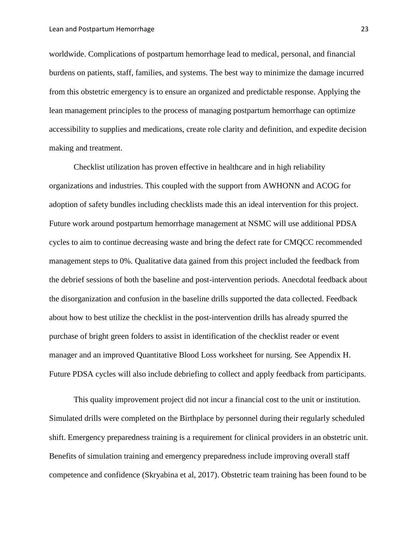worldwide. Complications of postpartum hemorrhage lead to medical, personal, and financial burdens on patients, staff, families, and systems. The best way to minimize the damage incurred from this obstetric emergency is to ensure an organized and predictable response. Applying the lean management principles to the process of managing postpartum hemorrhage can optimize accessibility to supplies and medications, create role clarity and definition, and expedite decision making and treatment.

Checklist utilization has proven effective in healthcare and in high reliability organizations and industries. This coupled with the support from AWHONN and ACOG for adoption of safety bundles including checklists made this an ideal intervention for this project. Future work around postpartum hemorrhage management at NSMC will use additional PDSA cycles to aim to continue decreasing waste and bring the defect rate for CMQCC recommended management steps to 0%. Qualitative data gained from this project included the feedback from the debrief sessions of both the baseline and post-intervention periods. Anecdotal feedback about the disorganization and confusion in the baseline drills supported the data collected. Feedback about how to best utilize the checklist in the post-intervention drills has already spurred the purchase of bright green folders to assist in identification of the checklist reader or event manager and an improved Quantitative Blood Loss worksheet for nursing. See Appendix H. Future PDSA cycles will also include debriefing to collect and apply feedback from participants.

This quality improvement project did not incur a financial cost to the unit or institution. Simulated drills were completed on the Birthplace by personnel during their regularly scheduled shift. Emergency preparedness training is a requirement for clinical providers in an obstetric unit. Benefits of simulation training and emergency preparedness include improving overall staff competence and confidence (Skryabina et al, 2017). Obstetric team training has been found to be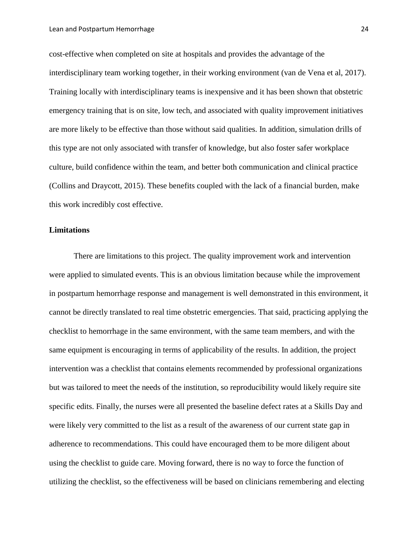cost-effective when completed on site at hospitals and provides the advantage of the interdisciplinary team working together, in their working environment (van de Vena et al, 2017). Training locally with interdisciplinary teams is inexpensive and it has been shown that obstetric emergency training that is on site, low tech, and associated with quality improvement initiatives are more likely to be effective than those without said qualities. In addition, simulation drills of this type are not only associated with transfer of knowledge, but also foster safer workplace culture, build confidence within the team, and better both communication and clinical practice (Collins and Draycott, 2015). These benefits coupled with the lack of a financial burden, make this work incredibly cost effective.

#### **Limitations**

There are limitations to this project. The quality improvement work and intervention were applied to simulated events. This is an obvious limitation because while the improvement in postpartum hemorrhage response and management is well demonstrated in this environment, it cannot be directly translated to real time obstetric emergencies. That said, practicing applying the checklist to hemorrhage in the same environment, with the same team members, and with the same equipment is encouraging in terms of applicability of the results. In addition, the project intervention was a checklist that contains elements recommended by professional organizations but was tailored to meet the needs of the institution, so reproducibility would likely require site specific edits. Finally, the nurses were all presented the baseline defect rates at a Skills Day and were likely very committed to the list as a result of the awareness of our current state gap in adherence to recommendations. This could have encouraged them to be more diligent about using the checklist to guide care. Moving forward, there is no way to force the function of utilizing the checklist, so the effectiveness will be based on clinicians remembering and electing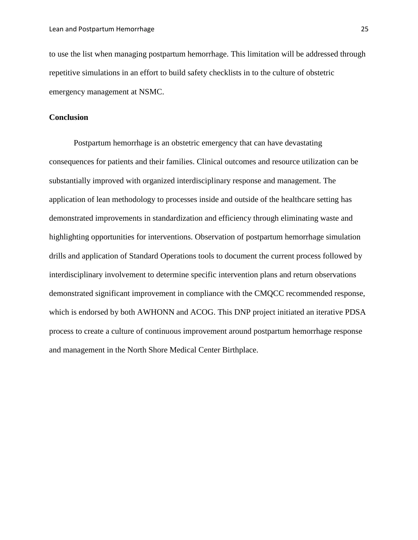to use the list when managing postpartum hemorrhage. This limitation will be addressed through repetitive simulations in an effort to build safety checklists in to the culture of obstetric emergency management at NSMC.

#### **Conclusion**

Postpartum hemorrhage is an obstetric emergency that can have devastating consequences for patients and their families. Clinical outcomes and resource utilization can be substantially improved with organized interdisciplinary response and management. The application of lean methodology to processes inside and outside of the healthcare setting has demonstrated improvements in standardization and efficiency through eliminating waste and highlighting opportunities for interventions. Observation of postpartum hemorrhage simulation drills and application of Standard Operations tools to document the current process followed by interdisciplinary involvement to determine specific intervention plans and return observations demonstrated significant improvement in compliance with the CMQCC recommended response, which is endorsed by both AWHONN and ACOG. This DNP project initiated an iterative PDSA process to create a culture of continuous improvement around postpartum hemorrhage response and management in the North Shore Medical Center Birthplace.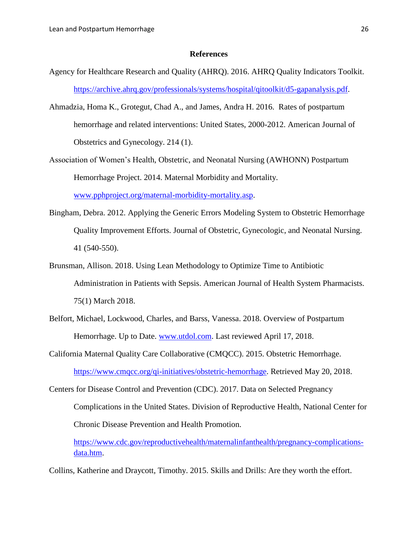#### **References**

- Agency for Healthcare Research and Quality (AHRQ). 2016. AHRQ Quality Indicators Toolkit. [https://archive.ahrq.gov/professionals/systems/hospital/qitoolkit/d5-gapanalysis.pdf.](https://archive.ahrq.gov/professionals/systems/hospital/qitoolkit/d5-gapanalysis.pdf)
- Ahmadzia, Homa K., Grotegut, Chad A., and James, Andra H. 2016. Rates of postpartum hemorrhage and related interventions: United States, 2000-2012. American Journal of Obstetrics and Gynecology. 214 (1).
- Association of Women's Health, Obstetric, and Neonatal Nursing (AWHONN) Postpartum Hemorrhage Project. 2014. Maternal Morbidity and Mortality.

[www.pphproject.org/maternal-morbidity-mortality.asp.](http://www.pphproject.org/maternal-morbidity-mortality.asp)

- Bingham, Debra. 2012. Applying the Generic Errors Modeling System to Obstetric Hemorrhage Quality Improvement Efforts. Journal of Obstetric, Gynecologic, and Neonatal Nursing. 41 (540-550).
- Brunsman, Allison. 2018. Using Lean Methodology to Optimize Time to Antibiotic Administration in Patients with Sepsis. American Journal of Health System Pharmacists. 75(1) March 2018.
- Belfort, Michael, Lockwood, Charles, and Barss, Vanessa. 2018. Overview of Postpartum Hemorrhage. Up to Date. [www.utdol.com.](http://www.utdol.com/) Last reviewed April 17, 2018.
- California Maternal Quality Care Collaborative (CMQCC). 2015. Obstetric Hemorrhage. [https://www.cmqcc.org/qi-initiatives/obstetric-hemorrhage.](https://www.cmqcc.org/qi-initiatives/obstetric-hemorrhage) Retrieved May 20, 2018.
- Centers for Disease Control and Prevention (CDC). 2017. Data on Selected Pregnancy Complications in the United States. Division of Reproductive Health, National Center for Chronic Disease Prevention and Health Promotion.

[https://www.cdc.gov/reproductivehealth/maternalinfanthealth/pregnancy-complications](https://www.cdc.gov/reproductivehealth/maternalinfanthealth/pregnancy-complications-data.htm)[data.htm.](https://www.cdc.gov/reproductivehealth/maternalinfanthealth/pregnancy-complications-data.htm)

Collins, Katherine and Draycott, Timothy. 2015. Skills and Drills: Are they worth the effort.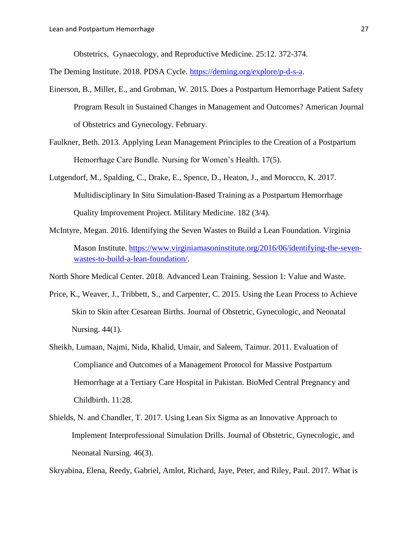Obstetrics, Gynaecology, and Reproductive Medicine. 25:12. 372-374.

The Deming Institute. 2018. PDSA Cycle. [https://deming.org/explore/p-d-s-a.](https://deming.org/explore/p-d-s-a)

- Einerson, B., Miller, E., and Grobman, W. 2015. Does a Postpartum Hemorrhage Patient Safety Program Result in Sustained Changes in Management and Outcomes? American Journal of Obstetrics and Gynecology. February.
- Faulkner, Beth. 2013. Applying Lean Management Principles to the Creation of a Postpartum Hemorrhage Care Bundle. Nursing for Women's Health. 17(5).
- Lutgendorf, M., Spalding, C., Drake, E., Spence, D., Heaton, J., and Morocco, K. 2017. Multidisciplinary In Situ Simulation-Based Training as a Postpartum Hemorrhage Quality Improvement Project. Military Medicine. 182 (3/4).
- McIntyre, Megan. 2016. Identifying the Seven Wastes to Build a Lean Foundation. Virginia Mason Institute. [https://www.virginiamasoninstitute.org/2016/06/identifying-the-seven](https://www.virginiamasoninstitute.org/2016/06/identifying-the-seven-wastes-to-build-a-lean-foundation/)[wastes-to-build-a-lean-foundation/.](https://www.virginiamasoninstitute.org/2016/06/identifying-the-seven-wastes-to-build-a-lean-foundation/)

North Shore Medical Center. 2018. Advanced Lean Training. Session 1: Value and Waste.

- Price, K., Weaver, J., Tribbett, S., and Carpenter, C. 2015. Using the Lean Process to Achieve Skin to Skin after Cesarean Births. Journal of Obstetric, Gynecologic, and Neonatal Nursing. 44(1).
- Sheikh, Lumaan, Najmi, Nida, Khalid, Umair, and Saleem, Taimur. 2011. Evaluation of Compliance and Outcomes of a Management Protocol for Massive Postpartum Hemorrhage at a Tertiary Care Hospital in Pakistan. BioMed Central Pregnancy and Childbirth. 11:28.
- Shields, N. and Chandler, T. 2017. Using Lean Six Sigma as an Innovative Approach to Implement Interprofessional Simulation Drills. Journal of Obstetric, Gynecologic, and Neonatal Nursing. 46(3).

Skryabina, Elena, Reedy, Gabriel, Amlot, Richard, Jaye, Peter, and Riley, Paul. 2017. What is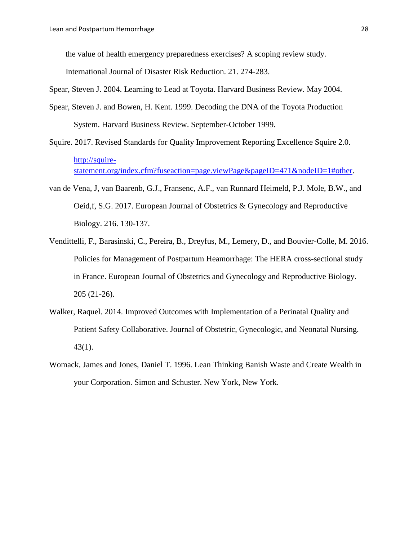the value of health emergency preparedness exercises? A scoping review study.

International Journal of Disaster Risk Reduction. 21. 274-283.

Spear, Steven J. 2004. Learning to Lead at Toyota. Harvard Business Review. May 2004.

- Spear, Steven J. and Bowen, H. Kent. 1999. Decoding the DNA of the Toyota Production System. Harvard Business Review. September-October 1999.
- Squire. 2017. Revised Standards for Quality Improvement Reporting Excellence Squire 2.0. [http://squire](http://squire-statement.org/index.cfm?fuseaction=page.viewPage&pageID=471&nodeID=1#other)[statement.org/index.cfm?fuseaction=page.viewPage&pageID=471&nodeID=1#other.](http://squire-statement.org/index.cfm?fuseaction=page.viewPage&pageID=471&nodeID=1#other)
- van de Vena, J, van Baarenb, G.J., Fransenc, A.F., van Runnard Heimeld, P.J. Mole, B.W., and Oeid,f, S.G. 2017. European Journal of Obstetrics & Gynecology and Reproductive Biology. 216. 130-137.
- Vendittelli, F., Barasinski, C., Pereira, B., Dreyfus, M., Lemery, D., and Bouvier-Colle, M. 2016. Policies for Management of Postpartum Heamorrhage: The HERA cross-sectional study in France. European Journal of Obstetrics and Gynecology and Reproductive Biology. 205 (21-26).
- Walker, Raquel. 2014. Improved Outcomes with Implementation of a Perinatal Quality and Patient Safety Collaborative. Journal of Obstetric, Gynecologic, and Neonatal Nursing. 43(1).
- Womack, James and Jones, Daniel T. 1996. Lean Thinking Banish Waste and Create Wealth in your Corporation. Simon and Schuster. New York, New York.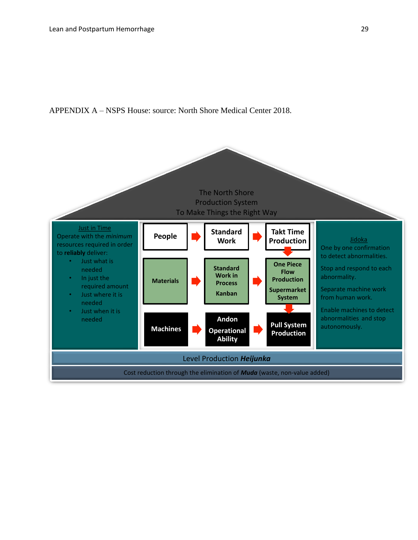#### APPENDIX A – NSPS House: source: North Shore Medical Center 2018.

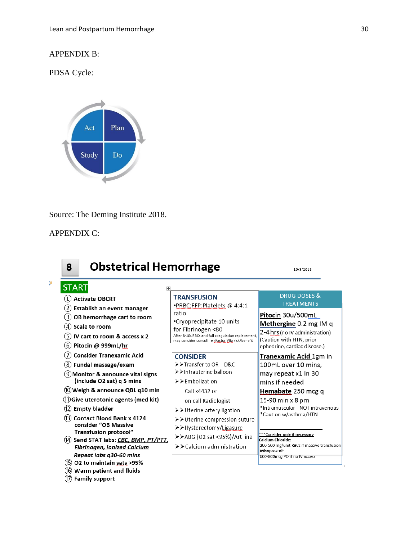#### APPENDIX B:

PDSA Cycle:



Source: The Deming Institute 2018.

#### APPENDIX C:

'n



# Methergine 0.2 mg IM q

\*Intramuscular - NOT intravenous

# Calcium Chloride:<br>200-500 mg/unit RBCs if massive transfusion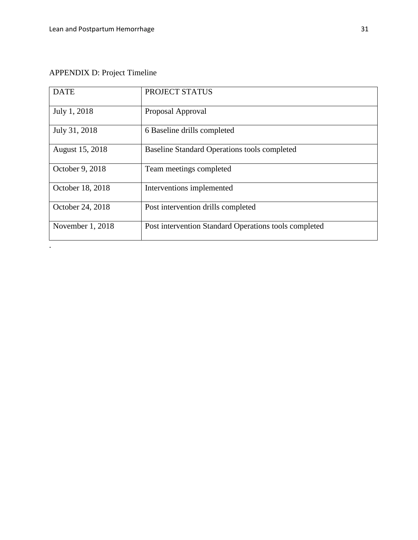# APPENDIX D: Project Timeline

.

| <b>DATE</b>      | PROJECT STATUS                                        |
|------------------|-------------------------------------------------------|
| July 1, 2018     | Proposal Approval                                     |
| July 31, 2018    | 6 Baseline drills completed                           |
| August 15, 2018  | Baseline Standard Operations tools completed          |
| October 9, 2018  | Team meetings completed                               |
| October 18, 2018 | Interventions implemented                             |
| October 24, 2018 | Post intervention drills completed                    |
| November 1, 2018 | Post intervention Standard Operations tools completed |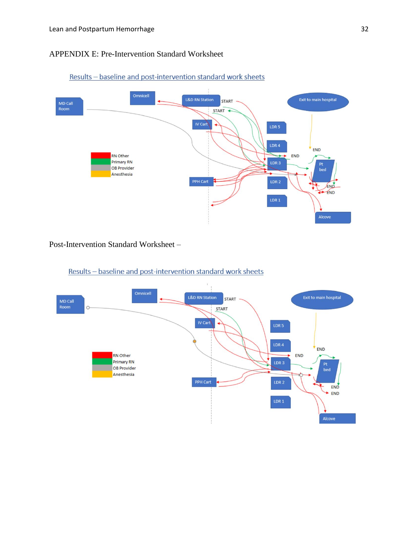#### APPENDIX E: Pre-Intervention Standard Worksheet



Results - baseline and post-intervention standard work sheets

Post-Intervention Standard Worksheet –



Results - baseline and post-intervention standard work sheets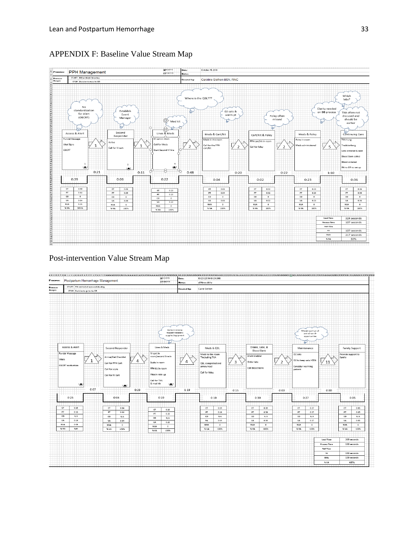

#### APPENDIX F: Baseline Value Stream Map

#### Post-intervention Value Stream Map